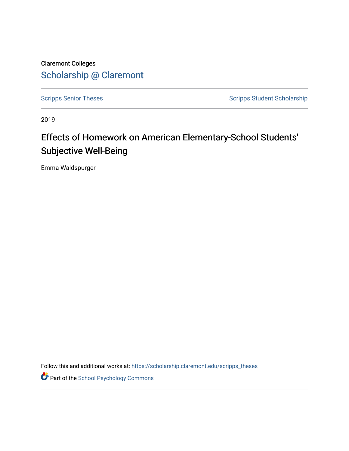Claremont Colleges [Scholarship @ Claremont](https://scholarship.claremont.edu/) 

[Scripps Senior Theses](https://scholarship.claremont.edu/scripps_theses) Scripps Student Scholarship

2019

# Effects of Homework on American Elementary-School Students' Subjective Well-Being

Emma Waldspurger

Follow this and additional works at: [https://scholarship.claremont.edu/scripps\\_theses](https://scholarship.claremont.edu/scripps_theses?utm_source=scholarship.claremont.edu%2Fscripps_theses%2F1495&utm_medium=PDF&utm_campaign=PDFCoverPages)

**Part of the School Psychology Commons**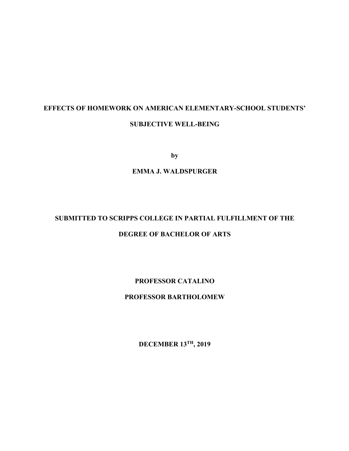# **EFFECTS OF HOMEWORK ON AMERICAN ELEMENTARY-SCHOOL STUDENTS' SUBJECTIVE WELL-BEING**

**by**

# **EMMA J. WALDSPURGER**

# **SUBMITTED TO SCRIPPS COLLEGE IN PARTIAL FULFILLMENT OF THE DEGREE OF BACHELOR OF ARTS**

# **PROFESSOR CATALINO**

# **PROFESSOR BARTHOLOMEW**

**DECEMBER 13TH, 2019**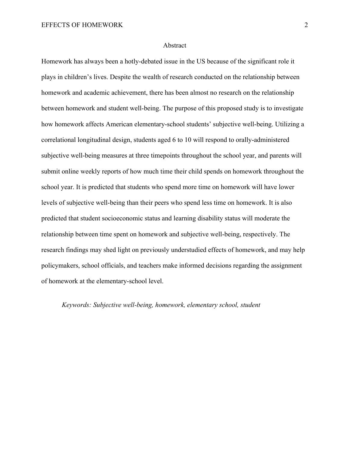#### Abstract

Homework has always been a hotly-debated issue in the US because of the significant role it plays in children's lives. Despite the wealth of research conducted on the relationship between homework and academic achievement, there has been almost no research on the relationship between homework and student well-being. The purpose of this proposed study is to investigate how homework affects American elementary-school students' subjective well-being. Utilizing a correlational longitudinal design, students aged 6 to 10 will respond to orally-administered subjective well-being measures at three timepoints throughout the school year, and parents will submit online weekly reports of how much time their child spends on homework throughout the school year. It is predicted that students who spend more time on homework will have lower levels of subjective well-being than their peers who spend less time on homework. It is also predicted that student socioeconomic status and learning disability status will moderate the relationship between time spent on homework and subjective well-being, respectively. The research findings may shed light on previously understudied effects of homework, and may help policymakers, school officials, and teachers make informed decisions regarding the assignment of homework at the elementary-school level.

## *Keywords: Subjective well-being, homework, elementary school, student*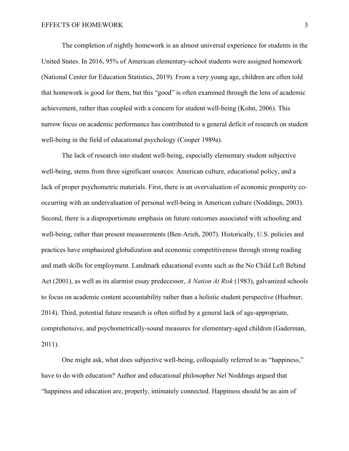The completion of nightly homework is an almost universal experience for students in the United States. In 2016, 95% of American elementary-school students were assigned homework (National Center for Education Statistics, 2019). From a very young age, children are often told that homework is good for them, but this "good" is often examined through the lens of academic achievement, rather than coupled with a concern for student well-being (Kohn, 2006). This narrow focus on academic performance has contributed to a general deficit of research on student well-being in the field of educational psychology (Cooper 1989a).

The lack of research into student well-being, especially elementary student subjective well-being, stems from three significant sources: American culture, educational policy, and a lack of proper psychometric materials. First, there is an overvaluation of economic prosperity cooccurring with an undervaluation of personal well-being in American culture (Noddings, 2003). Second, there is a disproportionate emphasis on future outcomes associated with schooling and well-being, rather than present measurements (Ben-Arieh, 2007). Historically, U.S. policies and practices have emphasized globalization and economic competitiveness through strong reading and math skills for employment. Landmark educational events such as the No Child Left Behind Act (2001), as well as its alarmist essay predecessor, *A Nation At Risk* (1983), galvanized schools to focus on academic content accountability rather than a holistic student perspective (Huebner, 2014). Third, potential future research is often stifled by a general lack of age-appropriate, comprehensive, and psychometrically-sound measures for elementary-aged children (Gaderman, 2011).

One might ask, what does subjective well-being, colloquially referred to as "happiness," have to do with education? Author and educational philosopher Nel Noddings argued that "happiness and education are, properly, intimately connected. Happiness should be an aim of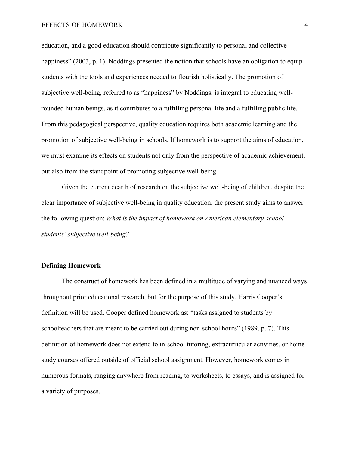education, and a good education should contribute significantly to personal and collective happiness" (2003, p. 1). Noddings presented the notion that schools have an obligation to equip students with the tools and experiences needed to flourish holistically. The promotion of subjective well-being, referred to as "happiness" by Noddings, is integral to educating wellrounded human beings, as it contributes to a fulfilling personal life and a fulfilling public life. From this pedagogical perspective, quality education requires both academic learning and the promotion of subjective well-being in schools. If homework is to support the aims of education, we must examine its effects on students not only from the perspective of academic achievement, but also from the standpoint of promoting subjective well-being.

Given the current dearth of research on the subjective well-being of children, despite the clear importance of subjective well-being in quality education, the present study aims to answer the following question: *What is the impact of homework on American elementary-school students' subjective well-being?*

# **Defining Homework**

The construct of homework has been defined in a multitude of varying and nuanced ways throughout prior educational research, but for the purpose of this study, Harris Cooper's definition will be used. Cooper defined homework as: "tasks assigned to students by schoolteachers that are meant to be carried out during non-school hours" (1989, p. 7). This definition of homework does not extend to in-school tutoring, extracurricular activities, or home study courses offered outside of official school assignment. However, homework comes in numerous formats, ranging anywhere from reading, to worksheets, to essays, and is assigned for a variety of purposes.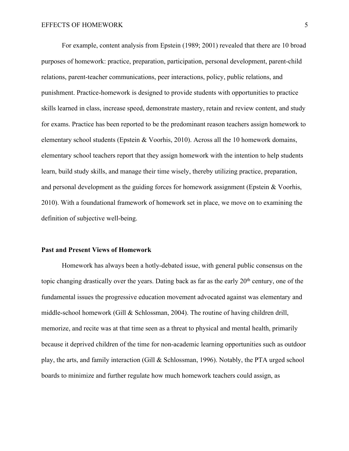For example, content analysis from Epstein (1989; 2001) revealed that there are 10 broad purposes of homework: practice, preparation, participation, personal development, parent-child relations, parent-teacher communications, peer interactions, policy, public relations, and punishment. Practice-homework is designed to provide students with opportunities to practice skills learned in class, increase speed, demonstrate mastery, retain and review content, and study for exams. Practice has been reported to be the predominant reason teachers assign homework to elementary school students (Epstein & Voorhis, 2010). Across all the 10 homework domains, elementary school teachers report that they assign homework with the intention to help students learn, build study skills, and manage their time wisely, thereby utilizing practice, preparation, and personal development as the guiding forces for homework assignment (Epstein & Voorhis, 2010). With a foundational framework of homework set in place, we move on to examining the definition of subjective well-being.

#### **Past and Present Views of Homework**

Homework has always been a hotly-debated issue, with general public consensus on the topic changing drastically over the years. Dating back as far as the early  $20<sup>th</sup>$  century, one of the fundamental issues the progressive education movement advocated against was elementary and middle-school homework (Gill & Schlossman, 2004). The routine of having children drill, memorize, and recite was at that time seen as a threat to physical and mental health, primarily because it deprived children of the time for non-academic learning opportunities such as outdoor play, the arts, and family interaction (Gill & Schlossman, 1996). Notably, the PTA urged school boards to minimize and further regulate how much homework teachers could assign, as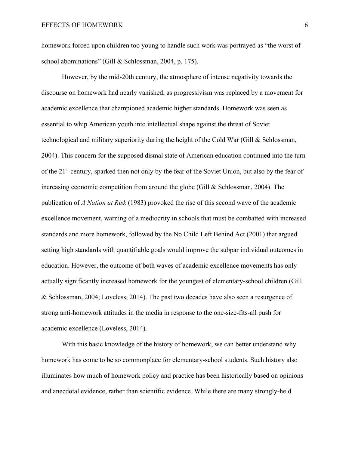homework forced upon children too young to handle such work was portrayed as "the worst of school abominations" (Gill & Schlossman, 2004, p. 175).

However, by the mid-20th century, the atmosphere of intense negativity towards the discourse on homework had nearly vanished, as progressivism was replaced by a movement for academic excellence that championed academic higher standards. Homework was seen as essential to whip American youth into intellectual shape against the threat of Soviet technological and military superiority during the height of the Cold War (Gill & Schlossman, 2004). This concern for the supposed dismal state of American education continued into the turn of the 21<sup>st</sup> century, sparked then not only by the fear of the Soviet Union, but also by the fear of increasing economic competition from around the globe (Gill & Schlossman, 2004). The publication of *A Nation at Risk* (1983) provoked the rise of this second wave of the academic excellence movement, warning of a mediocrity in schools that must be combatted with increased standards and more homework, followed by the No Child Left Behind Act (2001) that argued setting high standards with quantifiable goals would improve the subpar individual outcomes in education. However, the outcome of both waves of academic excellence movements has only actually significantly increased homework for the youngest of elementary-school children (Gill & Schlossman, 2004; Loveless, 2014). The past two decades have also seen a resurgence of strong anti-homework attitudes in the media in response to the one-size-fits-all push for academic excellence (Loveless, 2014).

With this basic knowledge of the history of homework, we can better understand why homework has come to be so commonplace for elementary-school students. Such history also illuminates how much of homework policy and practice has been historically based on opinions and anecdotal evidence, rather than scientific evidence. While there are many strongly-held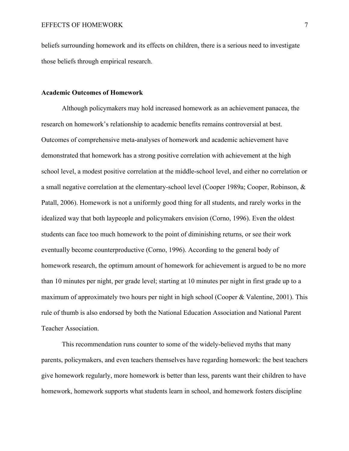beliefs surrounding homework and its effects on children, there is a serious need to investigate those beliefs through empirical research.

#### **Academic Outcomes of Homework**

Although policymakers may hold increased homework as an achievement panacea, the research on homework's relationship to academic benefits remains controversial at best. Outcomes of comprehensive meta-analyses of homework and academic achievement have demonstrated that homework has a strong positive correlation with achievement at the high school level, a modest positive correlation at the middle-school level, and either no correlation or a small negative correlation at the elementary-school level (Cooper 1989a; Cooper, Robinson, & Patall, 2006). Homework is not a uniformly good thing for all students, and rarely works in the idealized way that both laypeople and policymakers envision (Corno, 1996). Even the oldest students can face too much homework to the point of diminishing returns, or see their work eventually become counterproductive (Corno, 1996). According to the general body of homework research, the optimum amount of homework for achievement is argued to be no more than 10 minutes per night, per grade level; starting at 10 minutes per night in first grade up to a maximum of approximately two hours per night in high school (Cooper & Valentine, 2001). This rule of thumb is also endorsed by both the National Education Association and National Parent Teacher Association.

This recommendation runs counter to some of the widely-believed myths that many parents, policymakers, and even teachers themselves have regarding homework: the best teachers give homework regularly, more homework is better than less, parents want their children to have homework, homework supports what students learn in school, and homework fosters discipline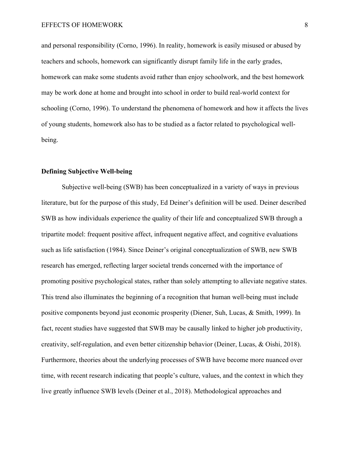and personal responsibility (Corno, 1996). In reality, homework is easily misused or abused by teachers and schools, homework can significantly disrupt family life in the early grades, homework can make some students avoid rather than enjoy schoolwork, and the best homework may be work done at home and brought into school in order to build real-world context for schooling (Corno, 1996). To understand the phenomena of homework and how it affects the lives of young students, homework also has to be studied as a factor related to psychological wellbeing.

### **Defining Subjective Well-being**

Subjective well-being (SWB) has been conceptualized in a variety of ways in previous literature, but for the purpose of this study, Ed Deiner's definition will be used. Deiner described SWB as how individuals experience the quality of their life and conceptualized SWB through a tripartite model: frequent positive affect, infrequent negative affect, and cognitive evaluations such as life satisfaction (1984). Since Deiner's original conceptualization of SWB, new SWB research has emerged, reflecting larger societal trends concerned with the importance of promoting positive psychological states, rather than solely attempting to alleviate negative states. This trend also illuminates the beginning of a recognition that human well-being must include positive components beyond just economic prosperity (Diener, Suh, Lucas, & Smith, 1999). In fact, recent studies have suggested that SWB may be causally linked to higher job productivity, creativity, self-regulation, and even better citizenship behavior (Deiner, Lucas, & Oishi, 2018). Furthermore, theories about the underlying processes of SWB have become more nuanced over time, with recent research indicating that people's culture, values, and the context in which they live greatly influence SWB levels (Deiner et al., 2018). Methodological approaches and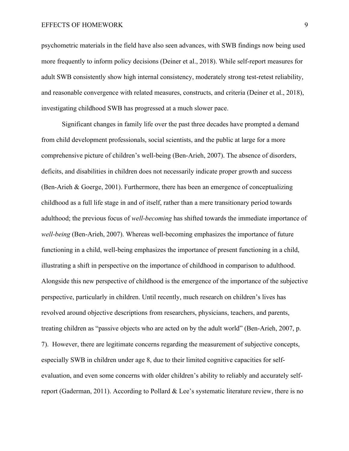psychometric materials in the field have also seen advances, with SWB findings now being used more frequently to inform policy decisions (Deiner et al., 2018). While self-report measures for adult SWB consistently show high internal consistency, moderately strong test-retest reliability, and reasonable convergence with related measures, constructs, and criteria (Deiner et al., 2018), investigating childhood SWB has progressed at a much slower pace.

Significant changes in family life over the past three decades have prompted a demand from child development professionals, social scientists, and the public at large for a more comprehensive picture of children's well-being (Ben-Arieh, 2007). The absence of disorders, deficits, and disabilities in children does not necessarily indicate proper growth and success (Ben-Arieh & Goerge, 2001). Furthermore, there has been an emergence of conceptualizing childhood as a full life stage in and of itself, rather than a mere transitionary period towards adulthood; the previous focus of *well-becoming* has shifted towards the immediate importance of *well-being* (Ben-Arieh, 2007). Whereas well-becoming emphasizes the importance of future functioning in a child, well-being emphasizes the importance of present functioning in a child, illustrating a shift in perspective on the importance of childhood in comparison to adulthood. Alongside this new perspective of childhood is the emergence of the importance of the subjective perspective, particularly in children. Until recently, much research on children's lives has revolved around objective descriptions from researchers, physicians, teachers, and parents, treating children as "passive objects who are acted on by the adult world" (Ben-Arieh, 2007, p. 7). However, there are legitimate concerns regarding the measurement of subjective concepts, especially SWB in children under age 8, due to their limited cognitive capacities for selfevaluation, and even some concerns with older children's ability to reliably and accurately selfreport (Gaderman, 2011). According to Pollard & Lee's systematic literature review, there is no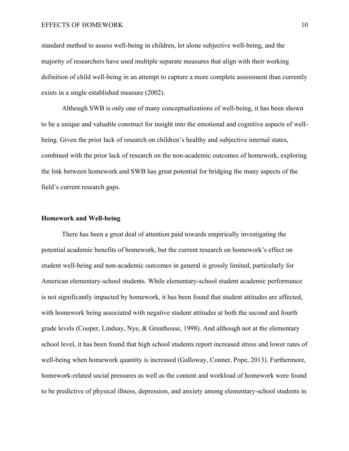#### EFFECTS OF HOMEWORK 10

standard method to assess well-being in children, let alone subjective well-being, and the majority of researchers have used multiple separate measures that align with their working definition of child well-being in an attempt to capture a more complete assessment than currently exists in a single established measure (2002).

Although SWB is only one of many conceptualizations of well-being, it has been shown to be a unique and valuable construct for insight into the emotional and cognitive aspects of wellbeing. Given the prior lack of research on children's healthy and subjective internal states, combined with the prior lack of research on the non-academic outcomes of homework, exploring the link between homework and SWB has great potential for bridging the many aspects of the field's current research gaps.

# **Homework and Well-being**

There has been a great deal of attention paid towards empirically investigating the potential academic benefits of homework, but the current research on homework's effect on student well-being and non-academic outcomes in general is grossly limited, particularly for American elementary-school students. While elementary-school student academic performance is not significantly impacted by homework, it has been found that student attitudes are affected, with homework being associated with negative student attitudes at both the second and fourth grade levels (Cooper, Lindsay, Nye, & Greathouse, 1998). And although not at the elementary school level, it has been found that high school students report increased stress and lower rates of well-being when homework quantity is increased (Galloway, Conner, Pope, 2013). Furthermore, homework-related social pressures as well as the content and workload of homework were found to be predictive of physical illness, depression, and anxiety among elementary-school students in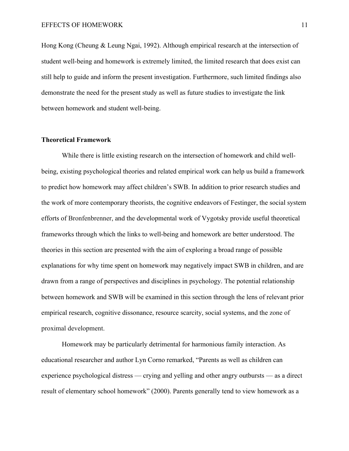Hong Kong (Cheung & Leung Ngai, 1992). Although empirical research at the intersection of student well-being and homework is extremely limited, the limited research that does exist can still help to guide and inform the present investigation. Furthermore, such limited findings also demonstrate the need for the present study as well as future studies to investigate the link between homework and student well-being.

#### **Theoretical Framework**

While there is little existing research on the intersection of homework and child wellbeing, existing psychological theories and related empirical work can help us build a framework to predict how homework may affect children's SWB. In addition to prior research studies and the work of more contemporary theorists, the cognitive endeavors of Festinger, the social system efforts of Bronfenbrenner, and the developmental work of Vygotsky provide useful theoretical frameworks through which the links to well-being and homework are better understood. The theories in this section are presented with the aim of exploring a broad range of possible explanations for why time spent on homework may negatively impact SWB in children, and are drawn from a range of perspectives and disciplines in psychology. The potential relationship between homework and SWB will be examined in this section through the lens of relevant prior empirical research, cognitive dissonance, resource scarcity, social systems, and the zone of proximal development.

Homework may be particularly detrimental for harmonious family interaction. As educational researcher and author Lyn Corno remarked, "Parents as well as children can experience psychological distress — crying and yelling and other angry outbursts — as a direct result of elementary school homework" (2000). Parents generally tend to view homework as a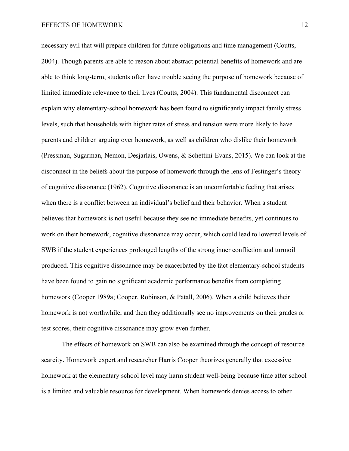necessary evil that will prepare children for future obligations and time management (Coutts, 2004). Though parents are able to reason about abstract potential benefits of homework and are able to think long-term, students often have trouble seeing the purpose of homework because of limited immediate relevance to their lives (Coutts, 2004). This fundamental disconnect can explain why elementary-school homework has been found to significantly impact family stress levels, such that households with higher rates of stress and tension were more likely to have parents and children arguing over homework, as well as children who dislike their homework (Pressman, Sugarman, Nemon, Desjarlais, Owens, & Schettini-Evans, 2015). We can look at the disconnect in the beliefs about the purpose of homework through the lens of Festinger's theory of cognitive dissonance (1962). Cognitive dissonance is an uncomfortable feeling that arises when there is a conflict between an individual's belief and their behavior. When a student believes that homework is not useful because they see no immediate benefits, yet continues to work on their homework, cognitive dissonance may occur, which could lead to lowered levels of SWB if the student experiences prolonged lengths of the strong inner confliction and turmoil produced. This cognitive dissonance may be exacerbated by the fact elementary-school students have been found to gain no significant academic performance benefits from completing homework (Cooper 1989a; Cooper, Robinson, & Patall, 2006). When a child believes their homework is not worthwhile, and then they additionally see no improvements on their grades or test scores, their cognitive dissonance may grow even further.

The effects of homework on SWB can also be examined through the concept of resource scarcity. Homework expert and researcher Harris Cooper theorizes generally that excessive homework at the elementary school level may harm student well-being because time after school is a limited and valuable resource for development. When homework denies access to other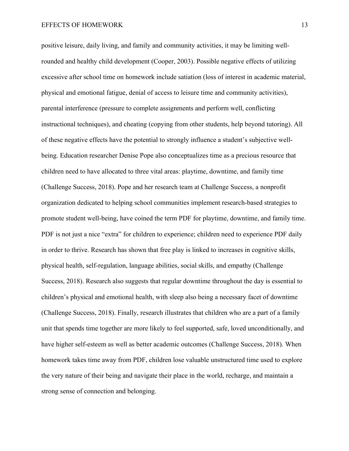positive leisure, daily living, and family and community activities, it may be limiting wellrounded and healthy child development (Cooper, 2003). Possible negative effects of utilizing excessive after school time on homework include satiation (loss of interest in academic material, physical and emotional fatigue, denial of access to leisure time and community activities), parental interference (pressure to complete assignments and perform well, conflicting instructional techniques), and cheating (copying from other students, help beyond tutoring). All of these negative effects have the potential to strongly influence a student's subjective wellbeing. Education researcher Denise Pope also conceptualizes time as a precious resource that children need to have allocated to three vital areas: playtime, downtime, and family time (Challenge Success, 2018). Pope and her research team at Challenge Success, a nonprofit organization dedicated to helping school communities implement research-based strategies to promote student well-being, have coined the term PDF for playtime, downtime, and family time. PDF is not just a nice "extra" for children to experience; children need to experience PDF daily in order to thrive. Research has shown that free play is linked to increases in cognitive skills, physical health, self-regulation, language abilities, social skills, and empathy (Challenge Success, 2018). Research also suggests that regular downtime throughout the day is essential to children's physical and emotional health, with sleep also being a necessary facet of downtime (Challenge Success, 2018). Finally, research illustrates that children who are a part of a family unit that spends time together are more likely to feel supported, safe, loved unconditionally, and have higher self-esteem as well as better academic outcomes (Challenge Success, 2018). When homework takes time away from PDF, children lose valuable unstructured time used to explore the very nature of their being and navigate their place in the world, recharge, and maintain a strong sense of connection and belonging.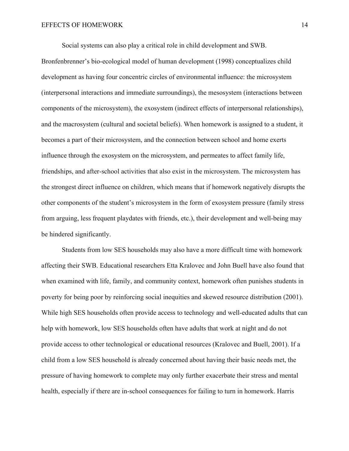Social systems can also play a critical role in child development and SWB.

Bronfenbrenner's bio-ecological model of human development (1998) conceptualizes child development as having four concentric circles of environmental influence: the microsystem (interpersonal interactions and immediate surroundings), the mesosystem (interactions between components of the microsystem), the exosystem (indirect effects of interpersonal relationships), and the macrosystem (cultural and societal beliefs). When homework is assigned to a student, it becomes a part of their microsystem, and the connection between school and home exerts influence through the exosystem on the microsystem, and permeates to affect family life, friendships, and after-school activities that also exist in the microsystem. The microsystem has the strongest direct influence on children, which means that if homework negatively disrupts the other components of the student's microsystem in the form of exosystem pressure (family stress from arguing, less frequent playdates with friends, etc.), their development and well-being may be hindered significantly.

Students from low SES households may also have a more difficult time with homework affecting their SWB. Educational researchers Etta Kralovec and John Buell have also found that when examined with life, family, and community context, homework often punishes students in poverty for being poor by reinforcing social inequities and skewed resource distribution (2001). While high SES households often provide access to technology and well-educated adults that can help with homework, low SES households often have adults that work at night and do not provide access to other technological or educational resources (Kralovec and Buell, 2001). If a child from a low SES household is already concerned about having their basic needs met, the pressure of having homework to complete may only further exacerbate their stress and mental health, especially if there are in-school consequences for failing to turn in homework. Harris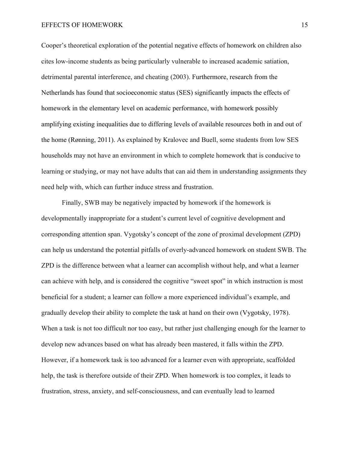#### EFFECTS OF HOMEWORK 15

Cooper's theoretical exploration of the potential negative effects of homework on children also cites low-income students as being particularly vulnerable to increased academic satiation, detrimental parental interference, and cheating (2003). Furthermore, research from the Netherlands has found that socioeconomic status (SES) significantly impacts the effects of homework in the elementary level on academic performance, with homework possibly amplifying existing inequalities due to differing levels of available resources both in and out of the home (Rønning, 2011). As explained by Kralovec and Buell, some students from low SES households may not have an environment in which to complete homework that is conducive to learning or studying, or may not have adults that can aid them in understanding assignments they need help with, which can further induce stress and frustration.

Finally, SWB may be negatively impacted by homework if the homework is developmentally inappropriate for a student's current level of cognitive development and corresponding attention span. Vygotsky's concept of the zone of proximal development (ZPD) can help us understand the potential pitfalls of overly-advanced homework on student SWB. The ZPD is the difference between what a learner can accomplish without help, and what a learner can achieve with help, and is considered the cognitive "sweet spot" in which instruction is most beneficial for a student; a learner can follow a more experienced individual's example, and gradually develop their ability to complete the task at hand on their own (Vygotsky, 1978). When a task is not too difficult nor too easy, but rather just challenging enough for the learner to develop new advances based on what has already been mastered, it falls within the ZPD. However, if a homework task is too advanced for a learner even with appropriate, scaffolded help, the task is therefore outside of their ZPD. When homework is too complex, it leads to frustration, stress, anxiety, and self-consciousness, and can eventually lead to learned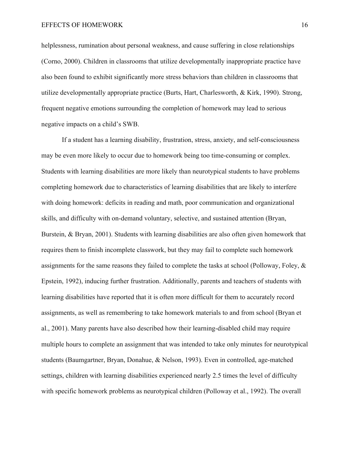helplessness, rumination about personal weakness, and cause suffering in close relationships (Corno, 2000). Children in classrooms that utilize developmentally inappropriate practice have also been found to exhibit significantly more stress behaviors than children in classrooms that utilize developmentally appropriate practice (Burts, Hart, Charlesworth, & Kirk, 1990). Strong, frequent negative emotions surrounding the completion of homework may lead to serious negative impacts on a child's SWB.

If a student has a learning disability, frustration, stress, anxiety, and self-consciousness may be even more likely to occur due to homework being too time-consuming or complex. Students with learning disabilities are more likely than neurotypical students to have problems completing homework due to characteristics of learning disabilities that are likely to interfere with doing homework: deficits in reading and math, poor communication and organizational skills, and difficulty with on-demand voluntary, selective, and sustained attention (Bryan, Burstein, & Bryan, 2001). Students with learning disabilities are also often given homework that requires them to finish incomplete classwork, but they may fail to complete such homework assignments for the same reasons they failed to complete the tasks at school (Polloway, Foley, & Epstein, 1992), inducing further frustration. Additionally, parents and teachers of students with learning disabilities have reported that it is often more difficult for them to accurately record assignments, as well as remembering to take homework materials to and from school (Bryan et al., 2001). Many parents have also described how their learning-disabled child may require multiple hours to complete an assignment that was intended to take only minutes for neurotypical students (Baumgartner, Bryan, Donahue, & Nelson, 1993). Even in controlled, age-matched settings, children with learning disabilities experienced nearly 2.5 times the level of difficulty with specific homework problems as neurotypical children (Polloway et al., 1992). The overall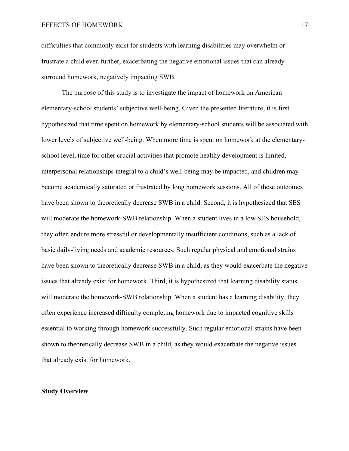difficulties that commonly exist for students with learning disabilities may overwhelm or frustrate a child even further, exacerbating the negative emotional issues that can already surround homework, negatively impacting SWB.

The purpose of this study is to investigate the impact of homework on American elementary-school students' subjective well-being. Given the presented literature, it is first hypothesized that time spent on homework by elementary-school students will be associated with lower levels of subjective well-being. When more time is spent on homework at the elementaryschool level, time for other crucial activities that promote healthy development is limited, interpersonal relationships integral to a child's well-being may be impacted, and children may become academically saturated or frustrated by long homework sessions. All of these outcomes have been shown to theoretically decrease SWB in a child. Second, it is hypothesized that SES will moderate the homework-SWB relationship. When a student lives in a low SES household, they often endure more stressful or developmentally insufficient conditions, such as a lack of basic daily-living needs and academic resources. Such regular physical and emotional strains have been shown to theoretically decrease SWB in a child, as they would exacerbate the negative issues that already exist for homework. Third, it is hypothesized that learning disability status will moderate the homework-SWB relationship. When a student has a learning disability, they often experience increased difficulty completing homework due to impacted cognitive skills essential to working through homework successfully. Such regular emotional strains have been shown to theoretically decrease SWB in a child, as they would exacerbate the negative issues that already exist for homework.

# **Study Overview**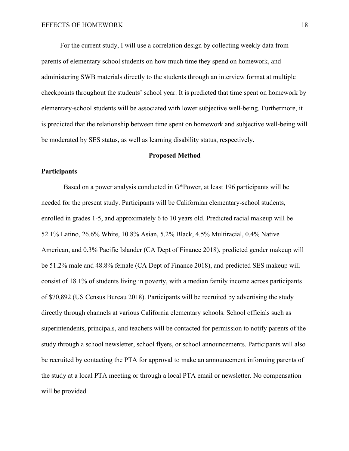For the current study, I will use a correlation design by collecting weekly data from parents of elementary school students on how much time they spend on homework, and administering SWB materials directly to the students through an interview format at multiple checkpoints throughout the students' school year. It is predicted that time spent on homework by elementary-school students will be associated with lower subjective well-being. Furthermore, it is predicted that the relationship between time spent on homework and subjective well-being will be moderated by SES status, as well as learning disability status, respectively.

#### **Proposed Method**

### **Participants**

 Based on a power analysis conducted in G\*Power, at least 196 participants will be needed for the present study. Participants will be Californian elementary-school students, enrolled in grades 1-5, and approximately 6 to 10 years old. Predicted racial makeup will be 52.1% Latino, 26.6% White, 10.8% Asian, 5.2% Black, 4.5% Multiracial, 0.4% Native American, and 0.3% Pacific Islander (CA Dept of Finance 2018), predicted gender makeup will be 51.2% male and 48.8% female (CA Dept of Finance 2018), and predicted SES makeup will consist of 18.1% of students living in poverty, with a median family income across participants of \$70,892 (US Census Bureau 2018). Participants will be recruited by advertising the study directly through channels at various California elementary schools. School officials such as superintendents, principals, and teachers will be contacted for permission to notify parents of the study through a school newsletter, school flyers, or school announcements. Participants will also be recruited by contacting the PTA for approval to make an announcement informing parents of the study at a local PTA meeting or through a local PTA email or newsletter. No compensation will be provided.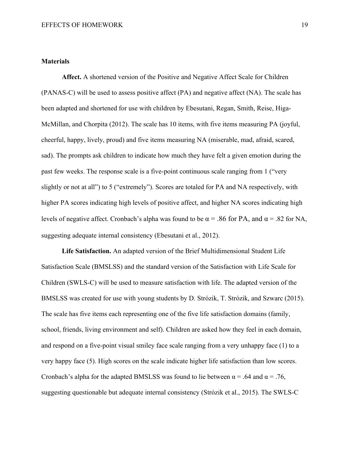## **Materials**

**Affect.** A shortened version of the Positive and Negative Affect Scale for Children (PANAS-C) will be used to assess positive affect (PA) and negative affect (NA). The scale has been adapted and shortened for use with children by Ebesutani, Regan, Smith, Reise, Higa-McMillan, and Chorpita (2012). The scale has 10 items, with five items measuring PA (joyful, cheerful, happy, lively, proud) and five items measuring NA (miserable, mad, afraid, scared, sad). The prompts ask children to indicate how much they have felt a given emotion during the past few weeks. The response scale is a five-point continuous scale ranging from 1 ("very slightly or not at all") to 5 ("extremely"). Scores are totaled for PA and NA respectively, with higher PA scores indicating high levels of positive affect, and higher NA scores indicating high levels of negative affect. Cronbach's alpha was found to be  $\alpha$  = .86 for PA, and  $\alpha$  = .82 for NA, suggesting adequate internal consistency (Ebesutani et al., 2012).

**Life Satisfaction.** An adapted version of the Brief Multidimensional Student Life Satisfaction Scale (BMSLSS) and the standard version of the Satisfaction with Life Scale for Children (SWLS-C) will be used to measure satisfaction with life. The adapted version of the BMSLSS was created for use with young students by D. Strózik, T. Strózik, and Szwarc (2015). The scale has five items each representing one of the five life satisfaction domains (family, school, friends, living environment and self). Children are asked how they feel in each domain, and respond on a five-point visual smiley face scale ranging from a very unhappy face (1) to a very happy face (5). High scores on the scale indicate higher life satisfaction than low scores. Cronbach's alpha for the adapted BMSLSS was found to lie between  $\alpha = .64$  and  $\alpha = .76$ , suggesting questionable but adequate internal consistency (Strózik et al., 2015). The SWLS-C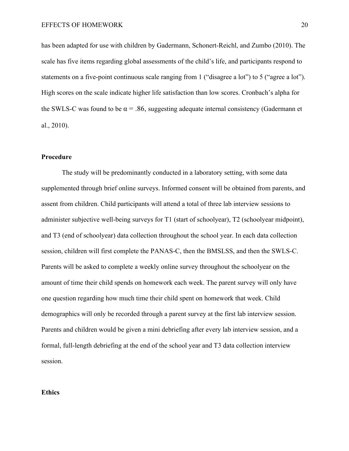has been adapted for use with children by Gadermann, Schonert-Reichl, and Zumbo (2010). The scale has five items regarding global assessments of the child's life, and participants respond to statements on a five-point continuous scale ranging from 1 ("disagree a lot") to 5 ("agree a lot"). High scores on the scale indicate higher life satisfaction than low scores. Cronbach's alpha for the SWLS-C was found to be  $\alpha = .86$ , suggesting adequate internal consistency (Gadermann et al., 2010).

# **Procedure**

 The study will be predominantly conducted in a laboratory setting, with some data supplemented through brief online surveys. Informed consent will be obtained from parents, and assent from children. Child participants will attend a total of three lab interview sessions to administer subjective well-being surveys for T1 (start of schoolyear), T2 (schoolyear midpoint), and T3 (end of schoolyear) data collection throughout the school year. In each data collection session, children will first complete the PANAS-C, then the BMSLSS, and then the SWLS-C. Parents will be asked to complete a weekly online survey throughout the schoolyear on the amount of time their child spends on homework each week. The parent survey will only have one question regarding how much time their child spent on homework that week. Child demographics will only be recorded through a parent survey at the first lab interview session. Parents and children would be given a mini debriefing after every lab interview session, and a formal, full-length debriefing at the end of the school year and T3 data collection interview session.

#### **Ethics**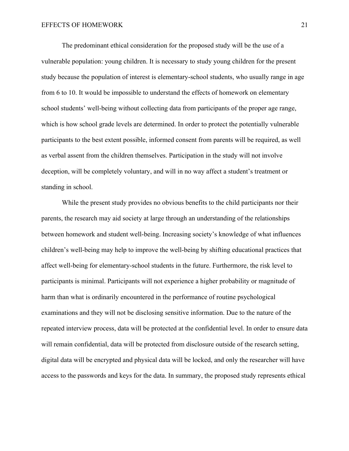The predominant ethical consideration for the proposed study will be the use of a vulnerable population: young children. It is necessary to study young children for the present study because the population of interest is elementary-school students, who usually range in age from 6 to 10. It would be impossible to understand the effects of homework on elementary school students' well-being without collecting data from participants of the proper age range, which is how school grade levels are determined. In order to protect the potentially vulnerable participants to the best extent possible, informed consent from parents will be required, as well as verbal assent from the children themselves. Participation in the study will not involve deception, will be completely voluntary, and will in no way affect a student's treatment or standing in school.

While the present study provides no obvious benefits to the child participants nor their parents, the research may aid society at large through an understanding of the relationships between homework and student well-being. Increasing society's knowledge of what influences children's well-being may help to improve the well-being by shifting educational practices that affect well-being for elementary-school students in the future. Furthermore, the risk level to participants is minimal. Participants will not experience a higher probability or magnitude of harm than what is ordinarily encountered in the performance of routine psychological examinations and they will not be disclosing sensitive information. Due to the nature of the repeated interview process, data will be protected at the confidential level. In order to ensure data will remain confidential, data will be protected from disclosure outside of the research setting, digital data will be encrypted and physical data will be locked, and only the researcher will have access to the passwords and keys for the data. In summary, the proposed study represents ethical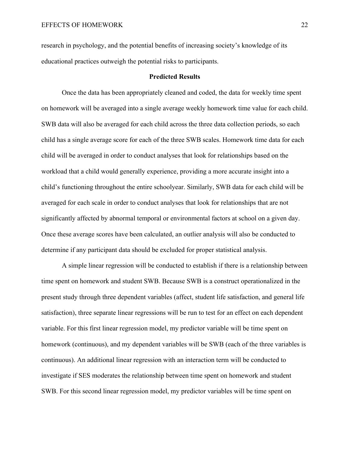research in psychology, and the potential benefits of increasing society's knowledge of its educational practices outweigh the potential risks to participants.

#### **Predicted Results**

Once the data has been appropriately cleaned and coded, the data for weekly time spent on homework will be averaged into a single average weekly homework time value for each child. SWB data will also be averaged for each child across the three data collection periods, so each child has a single average score for each of the three SWB scales. Homework time data for each child will be averaged in order to conduct analyses that look for relationships based on the workload that a child would generally experience, providing a more accurate insight into a child's functioning throughout the entire schoolyear. Similarly, SWB data for each child will be averaged for each scale in order to conduct analyses that look for relationships that are not significantly affected by abnormal temporal or environmental factors at school on a given day. Once these average scores have been calculated, an outlier analysis will also be conducted to determine if any participant data should be excluded for proper statistical analysis.

A simple linear regression will be conducted to establish if there is a relationship between time spent on homework and student SWB. Because SWB is a construct operationalized in the present study through three dependent variables (affect, student life satisfaction, and general life satisfaction), three separate linear regressions will be run to test for an effect on each dependent variable. For this first linear regression model, my predictor variable will be time spent on homework (continuous), and my dependent variables will be SWB (each of the three variables is continuous). An additional linear regression with an interaction term will be conducted to investigate if SES moderates the relationship between time spent on homework and student SWB. For this second linear regression model, my predictor variables will be time spent on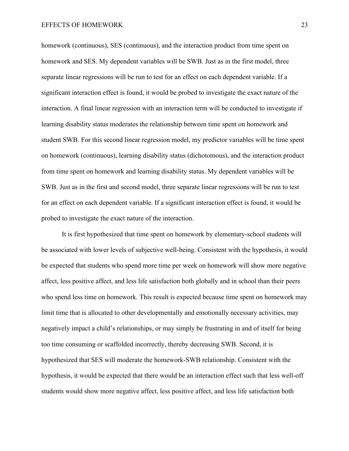homework (continuous), SES (continuous), and the interaction product from time spent on homework and SES. My dependent variables will be SWB. Just as in the first model, three separate linear regressions will be run to test for an effect on each dependent variable. If a significant interaction effect is found, it would be probed to investigate the exact nature of the interaction. A final linear regression with an interaction term will be conducted to investigate if learning disability status moderates the relationship between time spent on homework and student SWB. For this second linear regression model, my predictor variables will be time spent on homework (continuous), learning disability status (dichotomous), and the interaction product from time spent on homework and learning disability status. My dependent variables will be SWB. Just as in the first and second model, three separate linear regressions will be run to test for an effect on each dependent variable. If a significant interaction effect is found, it would be probed to investigate the exact nature of the interaction.

It is first hypothesized that time spent on homework by elementary-school students will be associated with lower levels of subjective well-being. Consistent with the hypothesis, it would be expected that students who spend more time per week on homework will show more negative affect, less positive affect, and less life satisfaction both globally and in school than their peers who spend less time on homework. This result is expected because time spent on homework may limit time that is allocated to other developmentally and emotionally necessary activities, may negatively impact a child's relationships, or may simply be frustrating in and of itself for being too time consuming or scaffolded incorrectly, thereby decreasing SWB. Second, it is hypothesized that SES will moderate the homework-SWB relationship. Consistent with the hypothesis, it would be expected that there would be an interaction effect such that less well-off students would show more negative affect, less positive affect, and less life satisfaction both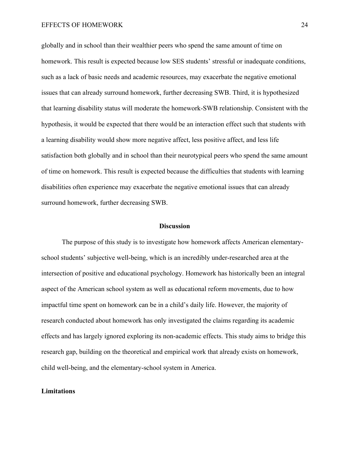#### EFFECTS OF HOMEWORK 24

globally and in school than their wealthier peers who spend the same amount of time on homework. This result is expected because low SES students' stressful or inadequate conditions, such as a lack of basic needs and academic resources, may exacerbate the negative emotional issues that can already surround homework, further decreasing SWB. Third, it is hypothesized that learning disability status will moderate the homework-SWB relationship. Consistent with the hypothesis, it would be expected that there would be an interaction effect such that students with a learning disability would show more negative affect, less positive affect, and less life satisfaction both globally and in school than their neurotypical peers who spend the same amount of time on homework. This result is expected because the difficulties that students with learning disabilities often experience may exacerbate the negative emotional issues that can already surround homework, further decreasing SWB.

### **Discussion**

The purpose of this study is to investigate how homework affects American elementaryschool students' subjective well-being, which is an incredibly under-researched area at the intersection of positive and educational psychology. Homework has historically been an integral aspect of the American school system as well as educational reform movements, due to how impactful time spent on homework can be in a child's daily life. However, the majority of research conducted about homework has only investigated the claims regarding its academic effects and has largely ignored exploring its non-academic effects. This study aims to bridge this research gap, building on the theoretical and empirical work that already exists on homework, child well-being, and the elementary-school system in America.

# **Limitations**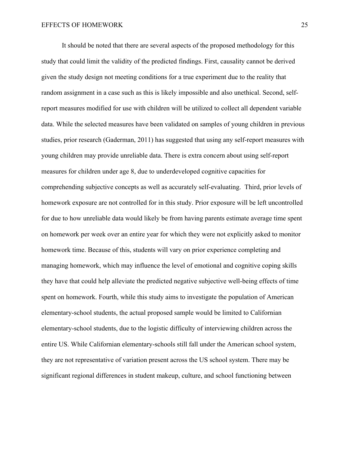It should be noted that there are several aspects of the proposed methodology for this study that could limit the validity of the predicted findings. First, causality cannot be derived given the study design not meeting conditions for a true experiment due to the reality that random assignment in a case such as this is likely impossible and also unethical. Second, selfreport measures modified for use with children will be utilized to collect all dependent variable data. While the selected measures have been validated on samples of young children in previous studies, prior research (Gaderman, 2011) has suggested that using any self-report measures with young children may provide unreliable data. There is extra concern about using self-report measures for children under age 8, due to underdeveloped cognitive capacities for comprehending subjective concepts as well as accurately self-evaluating. Third, prior levels of homework exposure are not controlled for in this study. Prior exposure will be left uncontrolled for due to how unreliable data would likely be from having parents estimate average time spent on homework per week over an entire year for which they were not explicitly asked to monitor homework time. Because of this, students will vary on prior experience completing and managing homework, which may influence the level of emotional and cognitive coping skills they have that could help alleviate the predicted negative subjective well-being effects of time spent on homework. Fourth, while this study aims to investigate the population of American elementary-school students, the actual proposed sample would be limited to Californian elementary-school students, due to the logistic difficulty of interviewing children across the entire US. While Californian elementary-schools still fall under the American school system, they are not representative of variation present across the US school system. There may be significant regional differences in student makeup, culture, and school functioning between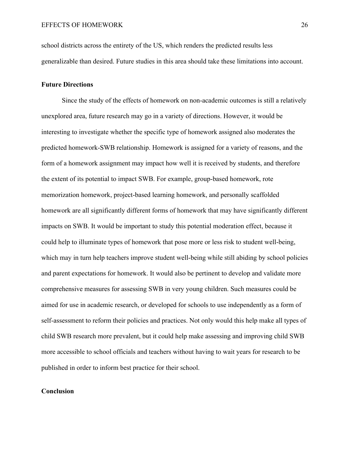school districts across the entirety of the US, which renders the predicted results less generalizable than desired. Future studies in this area should take these limitations into account.

# **Future Directions**

Since the study of the effects of homework on non-academic outcomes is still a relatively unexplored area, future research may go in a variety of directions. However, it would be interesting to investigate whether the specific type of homework assigned also moderates the predicted homework-SWB relationship. Homework is assigned for a variety of reasons, and the form of a homework assignment may impact how well it is received by students, and therefore the extent of its potential to impact SWB. For example, group-based homework, rote memorization homework, project-based learning homework, and personally scaffolded homework are all significantly different forms of homework that may have significantly different impacts on SWB. It would be important to study this potential moderation effect, because it could help to illuminate types of homework that pose more or less risk to student well-being, which may in turn help teachers improve student well-being while still abiding by school policies and parent expectations for homework. It would also be pertinent to develop and validate more comprehensive measures for assessing SWB in very young children. Such measures could be aimed for use in academic research, or developed for schools to use independently as a form of self-assessment to reform their policies and practices. Not only would this help make all types of child SWB research more prevalent, but it could help make assessing and improving child SWB more accessible to school officials and teachers without having to wait years for research to be published in order to inform best practice for their school.

# **Conclusion**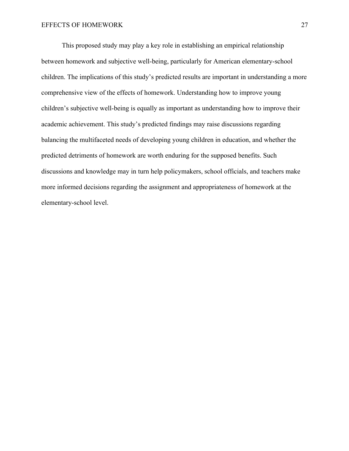This proposed study may play a key role in establishing an empirical relationship between homework and subjective well-being, particularly for American elementary-school children. The implications of this study's predicted results are important in understanding a more comprehensive view of the effects of homework. Understanding how to improve young children's subjective well-being is equally as important as understanding how to improve their academic achievement. This study's predicted findings may raise discussions regarding balancing the multifaceted needs of developing young children in education, and whether the predicted detriments of homework are worth enduring for the supposed benefits. Such discussions and knowledge may in turn help policymakers, school officials, and teachers make more informed decisions regarding the assignment and appropriateness of homework at the elementary-school level.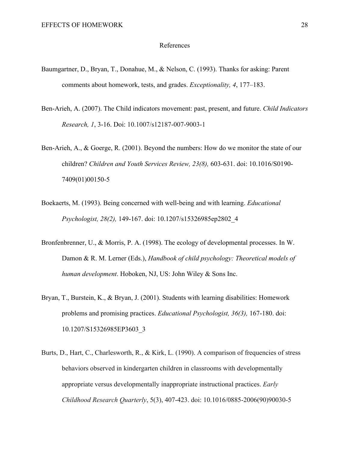#### References

- Baumgartner, D., Bryan, T., Donahue, M., & Nelson, C. (1993). Thanks for asking: Parent comments about homework, tests, and grades. *Exceptionality, 4*, 177–183.
- Ben-Arieh, A. (2007). The Child indicators movement: past, present, and future. *Child Indicators Research, 1*, 3-16. Doi: 10.1007/s12187-007-9003-1
- Ben-Arieh, A., & Goerge, R. (2001). Beyond the numbers: How do we monitor the state of our children? *Children and Youth Services Review, 23(8),* 603-631. doi: 10.1016/S0190- 7409(01)00150-5
- Boekaerts, M. (1993). Being concerned with well-being and with learning. *Educational Psychologist, 28(2),* 149-167. doi: 10.1207/s15326985ep2802\_4
- Bronfenbrenner, U., & Morris, P. A. (1998). The ecology of developmental processes. In W. Damon & R. M. Lerner (Eds.), *Handbook of child psychology: Theoretical models of human development*. Hoboken, NJ, US: John Wiley & Sons Inc.
- Bryan, T., Burstein, K., & Bryan, J. (2001). Students with learning disabilities: Homework problems and promising practices. *Educational Psychologist, 36(3),* 167-180. doi: 10.1207/S15326985EP3603\_3
- Burts, D., Hart, C., Charlesworth, R., & Kirk, L. (1990). A comparison of frequencies of stress behaviors observed in kindergarten children in classrooms with developmentally appropriate versus developmentally inappropriate instructional practices. *Early Childhood Research Quarterly*, 5(3), 407-423. doi: 10.1016/0885-2006(90)90030-5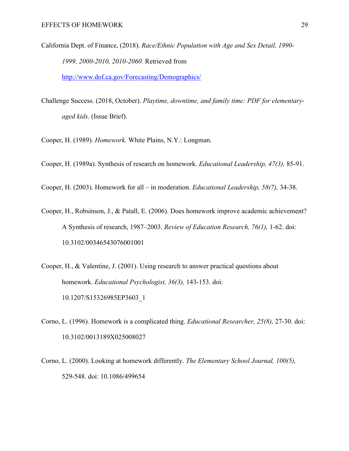- California Dept. of Finance, (2018). *Race/Ethnic Population with Age and Sex Detail, 1990- 1999, 2000-2010, 2010-2060.* Retrieved from http://www.dof.ca.gov/Forecasting/Demographics/
- Challenge Success. (2018, October). *Playtime, downtime, and family time: PDF for elementaryaged kids.* (Issue Brief).

Cooper, H. (1989). *Homework.* White Plains, N.Y.: Longman.

Cooper, H. (1989a). Synthesis of research on homework. *Educational Leadership, 47(3),* 85-91.

Cooper, H. (2003). Homework for all – in moderation. *Educational Leadership, 58(7),* 34-38.

- Cooper, H., Robsinson, J., & Patall, E. (2006). Does homework improve academic achievement? A Synthesis of research, 1987–2003. *Review of Education Research, 76(1),* 1-62. doi: 10.3102/00346543076001001
- Cooper, H., & Valentine, J. (2001). Using research to answer practical questions about homework. *Educational Psychologist, 36(3),* 143-153. doi: 10.1207/S15326985EP3603\_1
- Corno, L. (1996). Homework is a complicated thing. *Educational Researcher, 25(8),* 27-30. doi: 10.3102/0013189X025008027
- Corno, L. (2000). Looking at homework differently. *The Elementary School Journal, 100(5),* 529-548. doi: 10.1086/499654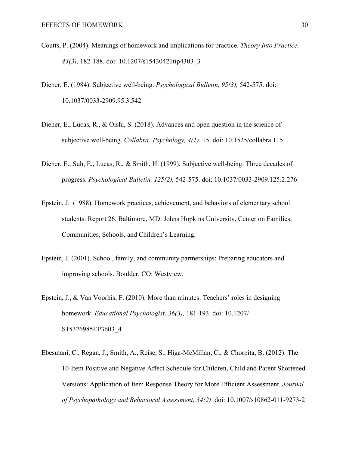- Coutts, P. (2004). Meanings of homework and implications for practice. *Theory Into Practice, 43(3),* 182-188. doi: 10.1207/s15430421tip4303\_3
- Diener, E. (1984). Subjective well-being. *Psychological Bulletin, 95(3),* 542-575. doi: 10.1037/0033-2909.95.3.542
- Diener, E., Lucas, R., & Oishi, S. (2018). Advances and open question in the science of subjective well-being. *Collabra: Psychology, 4(1)*. 15. doi: 10.1525/collabra.115
- Diener, E., Suh, E., Lucas, R., & Smith, H. (1999). Subjective well-being: Three decades of progress. *Psychological Bulletin, 125(2),* 542-575. doi: 10.1037/0033-2909.125.2.276
- Epstein, J. (1988). Homework practices, achievement, and behaviors of elementary school students. Report 26. Baltimore, MD: Johns Hopkins University, Center on Families, Communities, Schools, and Children's Learning.
- Epstein, J. (2001). School, family, and community partnerships: Preparing educators and improving schools. Boulder, CO: Westview.
- Epstein, J., & Van Voorhis, F. (2010). More than minutes: Teachers' roles in designing homework. *Educational Psychologist, 36(3),* 181-193. doi: 10.1207/ S15326985EP3603\_4
- Ebesutani, C., Regan, J., Smith, A., Reise, S., Higa-McMillan, C., & Chorpita, B. (2012). The 10-Item Positive and Negative Affect Schedule for Children, Child and Parent Shortened Versions: Application of Item Response Theory for More Efficient Assessment. *Journal of Psychopathology and Behavioral Assessment, 34(2)*. doi: 10.1007/s10862-011-9273-2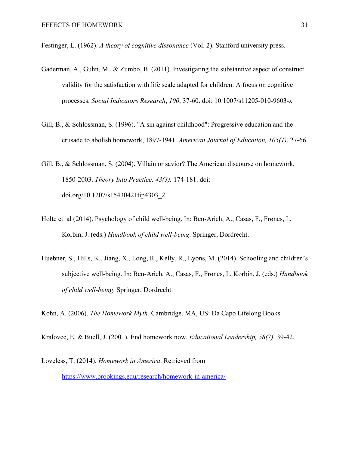Festinger, L. (1962). *A theory of cognitive dissonance* (Vol. 2). Stanford university press.

- Gaderman, A., Guhn, M., & Zumbo, B. (2011). Investigating the substantive aspect of construct validity for the satisfaction with life scale adapted for children: A focus on cognitive processes. *Social Indicators Research*, *100*, 37-60. doi: 10.1007/s11205-010-9603-x
- Gill, B., & Schlossman, S. (1996). "A sin against childhood": Progressive education and the crusade to abolish homework, 1897-1941. *American Journal of Education, 105(1)*, 27-66.
- Gill, B., & Schlossman, S. (2004). Villain or savior? The American discourse on homework, 1850-2003. *Theory Into Practice, 43(3),* 174-181. doi: doi.org/10.1207/s15430421tip4303\_2
- Holte et. al (2014). Psychology of child well-being. In: Ben-Arieh, A., Casas, F., Frønes, I., Korbin, J. (eds.) *Handbook of child well-being*. Springer, Dordrecht.
- Huebner, S., Hills, K., Jiang, X., Long, R., Kelly, R., Lyons, M. (2014). Schooling and children's subjective well-being. In: Ben-Arieh, A., Casas, F., Frønes, I., Korbin, J. (eds.) *Handbook of child well-being*. Springer, Dordrecht.

Kohn, A. (2006). *The Homework Myth.* Cambridge, MA, US: Da Capo Lifelong Books.

Kralovec, E. & Buell, J. (2001). End homework now. *Educational Leadership, 58(7),* 39-42.

Loveless, T. (2014). *Homework in America*. Retrieved from https://www.brookings.edu/research/homework-in-america/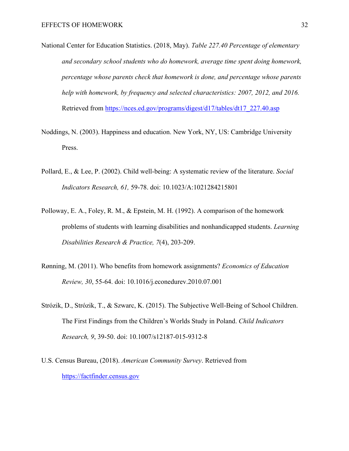- National Center for Education Statistics. (2018, May). *Table 227.40 Percentage of elementary and secondary school students who do homework, average time spent doing homework, percentage whose parents check that homework is done, and percentage whose parents help with homework, by frequency and selected characteristics: 2007, 2012, and 2016.* Retrieved from https://nces.ed.gov/programs/digest/d17/tables/dt17\_227.40.asp
- Noddings, N. (2003). Happiness and education. New York, NY, US: Cambridge University Press.
- Pollard, E., & Lee, P. (2002). Child well-being: A systematic review of the literature. *Social Indicators Research, 61,* 59-78. doi: 10.1023/A:1021284215801
- Polloway, E. A., Foley, R. M., & Epstein, M. H. (1992). A comparison of the homework problems of students with learning disabilities and nonhandicapped students. *Learning Disabilities Research & Practice, 7*(4), 203-209.
- Rønning, M. (2011). Who benefits from homework assignments? *Economics of Education Review, 30*, 55-64. doi: 10.1016/j.econedurev.2010.07.001
- Strózik, D., Strózik, T., & Szwarc, K. (2015). The Subjective Well-Being of School Children. The First Findings from the Children's Worlds Study in Poland. *Child Indicators Research, 9*, 39-50. doi: 10.1007/s12187-015-9312-8
- U.S. Census Bureau, (2018). *American Community Survey*. Retrieved from https://factfinder.census.gov